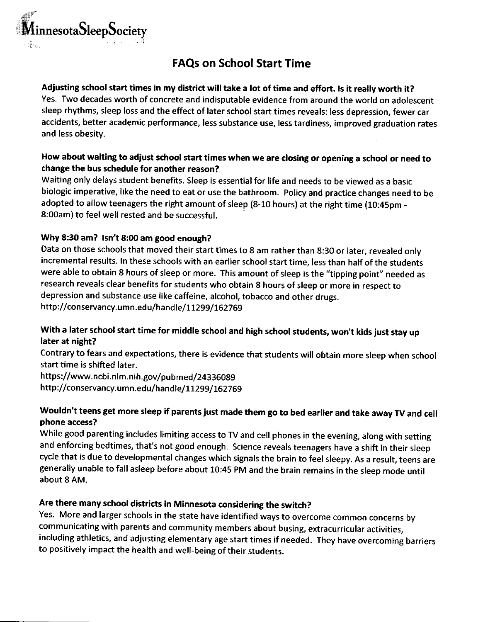

# FAQs on School Start Time

#### Adjusting school start times in my district will take a lot of time and effort. ]s it really worth it?

Yes. Two decades worth of concrete and indisputable evidence from around the world on adolescent sleep rhythms, sleep loss and the effect of later school start times reveals: less depression, fewer car accidents, better academic performance, less substance use, less tardiness, improved graduation rates and less obesity.

#### How about waiting to adiust school start times when we are closing or opening a school or need to change the bus schedule for another reason?

Waiting only delays student benefits. Sleep is essential for life and needs to be viewed as a basic biologic imperative, like the need to eat or use the bathroom. Poliry and practice changes need to be adopted to allow teenagers the right amount of sleep (8-10 hours) at the right time (10:45pm - 8:00am) to feel well rested and be successful.

### Why 8:30 am? lsn't 8:00 am good enough?

Data on those schools that moved their start times to 8 am rather than 8:30 or later, revealed only incremental results. In these schools with an earlier school start time, less than half of the students were able to obtain 8 hours of sleep or more. This amount of sleep is the 'tipping point" needed as research reveals clear benefits for students who obtain 8 hours of sleep or more in respect to depression and substance use like caffeine, alcohol, tobacco and other drugs. http://conservancy.umn.edu/handle/11299/162769

## With a later school start time for middle school and high school students, won't kids just stay up later at night?

Contrary to fears and expectations, there is evidence that students will obtain more sleep when school start time is shifted later.

https://www.ncbi.nlm.nih.gov/pubmed/24336089 http://conservancy.umn.edu/handle/11299/162769

## Wouldn't teens get more sleep if parents just made them go to bed earlier and take away TV and cell phone access?

While good parenting includes limiting access to TV and cell phones in the evening, along with setting and enforcing bedtimes, that's not good enough. Science reveals teenagers have a shift in their sleep cycle that is due to developmental changes which signals the brain to feel sleepy. As a result, teens are generally unable to fall asleep before about 10:45 PM and the brain remains in the sleep mode until about 8 AM.

## Are there many school districts in Minnesota considering the switch?

Yes. More and larger schools in the state have identified ways to overcome common concerns by communicating with parents and community members about busing, extracurricular activities, including athletics, and adjusting elementary age start times if needed. They have overcoming barriers to positively impact the health and well-being of their students.